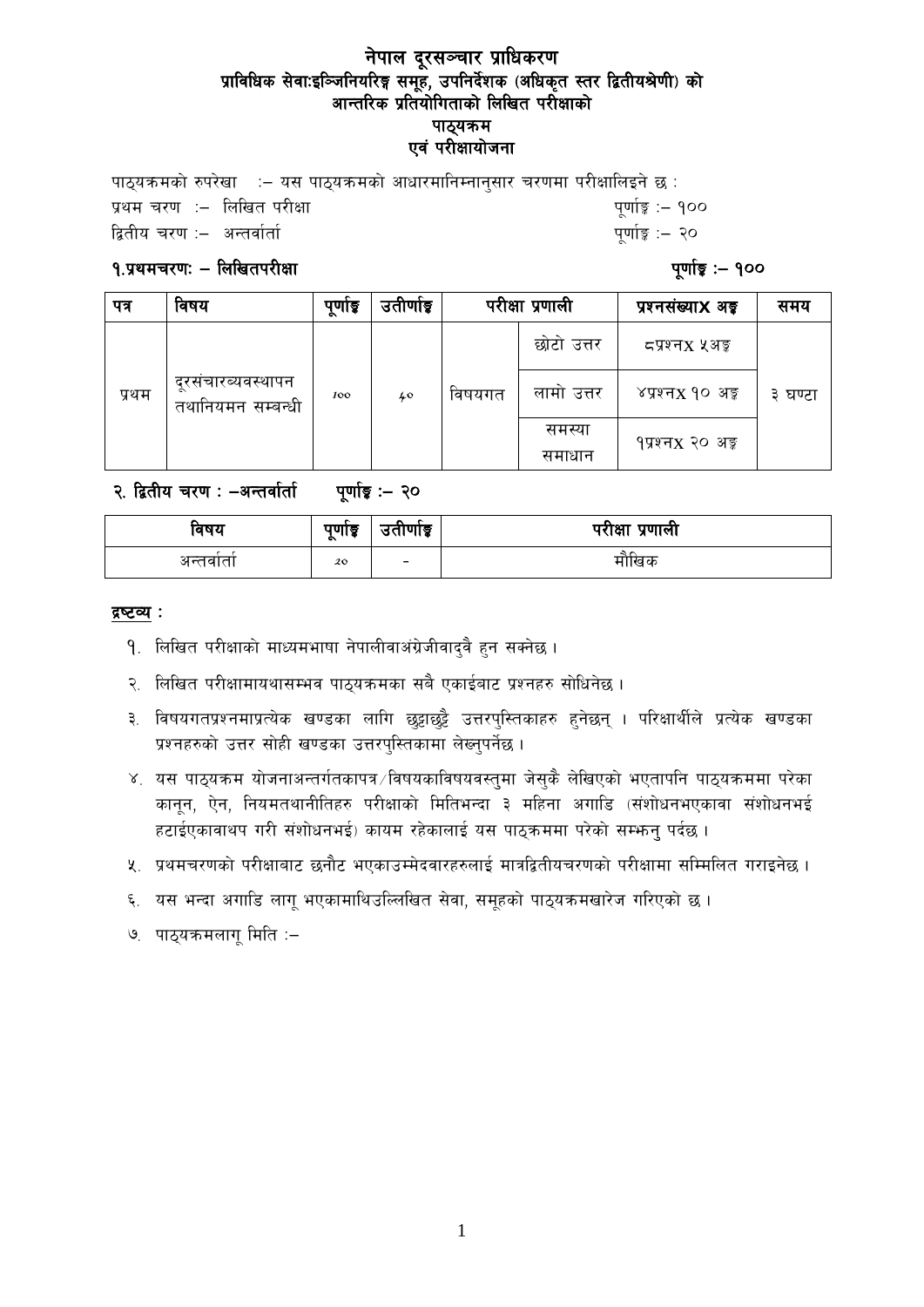### नेपाल दूरसञ्चार प्राधिकरण प्राविधिक सेवाःइञ्जिनियरिङ्ग समूह, उपनिर्देशक (अधिकृत स्तर द्वितीयश्रेणी) को आन्तरिक प्रतियोगिताको लिखित परीक्षाको पाठ्यक्रम एवं परीक्षायोजना

पाठयक्रमको रुपरेखा  $\;\;:=$  यस पाठयक्रमको आधारमानिम्नानुसार चरणमा परीक्षालिइने छ : k|yd r/0f M— lnlvt k/LIff k"0ff{Í M— !)) द्वितीय चरण :– अन्तर्वार्ता  $\mathbb{R}^3$  and  $\mathbb{R}^3$  are contributed by  $\mathbb{R}^3$  and  $\mathbb{R}^3$  are contributed by  $\mathbb{R}^3$ 

### $9.$ प्रथमचरणः – लिखितपरीक्षा $9.9$  अप्रैल करते हैं: पुर्णांक्वा से पूर्णांक्वा अप्रैल करते हैं: पुर्णांक्वा अपर

| पत्र  | विषय                                   | पुणाङ्क | उतीर्णाइ |        | परीक्षा प्रणाली  | प्रश्नसंख्या <b>X</b> अड्ड   | समय     |
|-------|----------------------------------------|---------|----------|--------|------------------|------------------------------|---------|
| प्रथम | दूरसचारब्यवस्थापन<br>तथानियमन सम्बन्धी | 100     | 40       | विषयगत | छोटो उत्तर       | दप्रश्नx ५अङ्ग               | ३ घण्टा |
|       |                                        |         |          |        | लामा उत्तर       | ४प्रश्न $x$ १० अङ्क          |         |
|       |                                        |         |          |        | समस्या<br>समाधान | १प्रश्नx २० अङ् <del>क</del> |         |

२. द्वितीय चरण : -अन्तर्वार्ता पर्णाङ्क :- २०

| विषय     | पुणाङ्क<br>$\bullet$ | $\sim$<br>उताणाडू        | परीक्षा प्रणाली |
|----------|----------------------|--------------------------|-----------------|
| अन्तवाता | 20                   | $\overline{\phantom{0}}$ | मौखिक           |

### द्रष्टव्य :

- 9. लिखित परीक्षाको माध्यमभाषा नेपालीवाअंग्रेजीवाद्वै हन सक्नेछ ।
- २. लिखित परीक्षामायथासम्भव पाठ्यक्रमका सबै एकाईबाट प्रश्नहरु सोधिनेछ ।
- ३. विषयगतप्रश्नमाप्रत्येक खण्डका लागि छुट्टाछुट्टै उत्तरपुस्तिकाहरु हुनेछन् । परिक्षार्थीले प्रत्येक खण्डका प्रश्नहरुको उत्तर सोही खण्डका उत्तरपुस्तिकामा लेख्नुपर्नेछ।
- ४. यस पाठ्यक्रम योजनाअन्तर्गतकापत्र /विषयकाविषयवस्तुमा जेसुकै लेखिएको भएतापनि पाठ्यक्रममा परेका कानून, ऐन, नियमतथानीतिहरु परीक्षाको मितिभन्दा ३ महिना अगाडि (संशोधनभएकावा संशोधनभई हटाईएकावाथप गरी संशोधनभई) कायम रहेकालाई यस पाठ्कममा परेको सम्भन्नु पर्दछ ।
- ४. प्रथमचरणको परीक्षाबाट छनौट भएकाउम्मेदवारहरुलाई मात्रद्वितीयचरणको परीक्षामा सम्मिलित गराइनेछ ।
- ६. यस भन्दा अगाडि लागू भएकामाथिउल्लिखित सेवा, समूहको पाठ्यक्रमखारेज गरिएको छ।
- ७. पाठ्यक्रमलागू मिति :–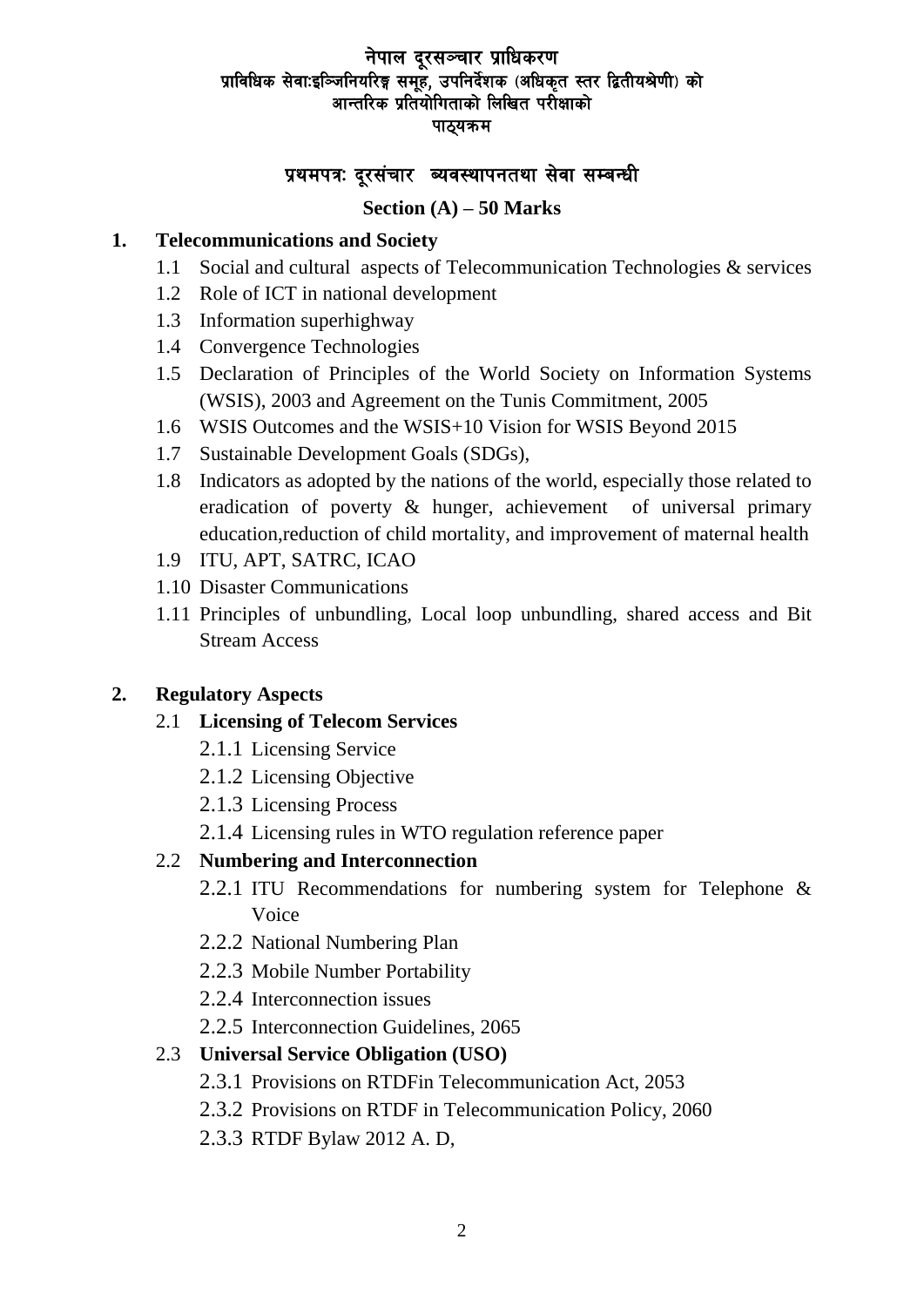## नेपाल दूरसञ्चार प्राधिकरण प्राविधिक सेवाःइञ्जिनियरिङ्ग समूहे, उपनिर्देशक (अधिकृत स्तर द्वितीयश्रेणी) को आन्तरिक प्रतियोगिताको लिखित परीक्षाको पाठ्यक्रम

## प्रथमपत्रः दुरसंचार व्यवस्थापनतथा सेवा सम्बन्धी

### **Section (A) – 50 Marks**

### **1. Telecommunications and Society**

- 1.1 Social and cultural aspects of Telecommunication Technologies & services
- 1.2 Role of ICT in national development
- 1.3 Information superhighway
- 1.4 Convergence Technologies
- 1.5 Declaration of Principles of the World Society on Information Systems (WSIS), 2003 and Agreement on the Tunis Commitment, 2005
- 1.6 WSIS Outcomes and the WSIS+10 Vision for WSIS Beyond 2015
- 1.7 Sustainable Development Goals (SDGs),
- 1.8 Indicators as adopted by the nations of the world, especially those related to eradication of poverty & hunger, achievement of universal primary education,reduction of child mortality, and improvement of maternal health
- 1.9 ITU, APT, SATRC, ICAO
- 1.10 Disaster Communications
- 1.11 Principles of unbundling, Local loop unbundling, shared access and Bit Stream Access

### **2. Regulatory Aspects**

- 2.1 **Licensing of Telecom Services**
	- 2.1.1 Licensing Service
	- 2.1.2 Licensing Objective
	- 2.1.3 Licensing Process
	- 2.1.4 Licensing rules in WTO regulation reference paper

## 2.2 **Numbering and Interconnection**

- 2.2.1 ITU Recommendations for numbering system for Telephone & Voice
- 2.2.2 National Numbering Plan
- 2.2.3 Mobile Number Portability
- 2.2.4 Interconnection issues
- 2.2.5 Interconnection Guidelines, 2065

#### 2.3 **Universal Service Obligation (USO)**

- 2.3.1 Provisions on RTDFin Telecommunication Act, 2053
- 2.3.2 Provisions on RTDF in Telecommunication Policy, 2060
- 2.3.3 RTDF Bylaw 2012 A. D,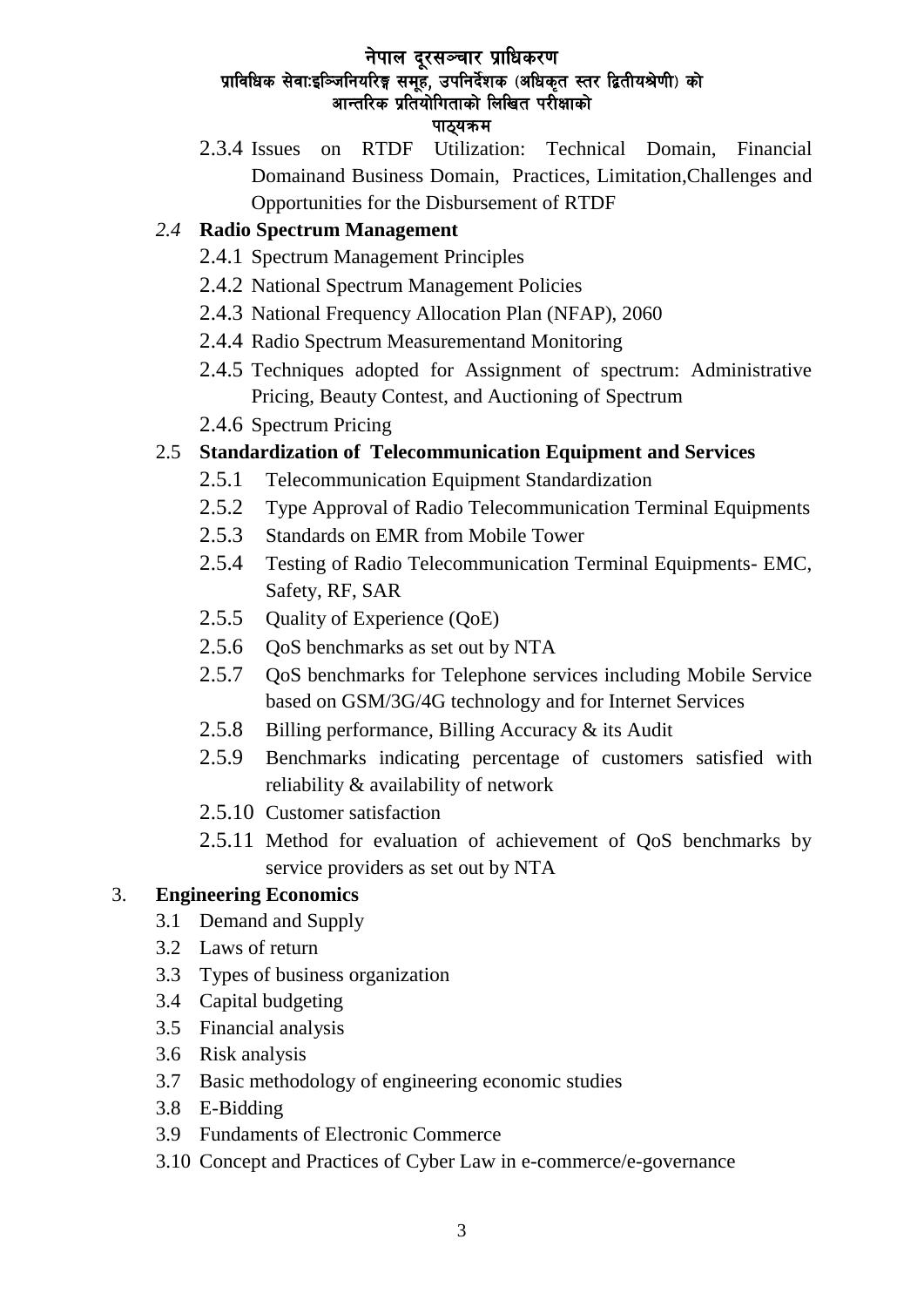## नेपाल दूरसञ्चार प्राधिकरण प्राविधिक सेवाःइञ्जिनियरिङ्ग समूहे, उपनिर्देशक (अधिकृत स्तर द्वितीयश्रेणी) को आन्तरिक प्रतियोगिताको लिखित परीक्षाको पाठयक्रम

2.3.4 Issues on RTDF Utilization: Technical Domain, Financial Domainand Business Domain, Practices, Limitation,Challenges and Opportunities for the Disbursement of RTDF

## *2.4* **Radio Spectrum Management**

- 2.4.1 Spectrum Management Principles
- 2.4.2 National Spectrum Management Policies
- 2.4.3 National Frequency Allocation Plan (NFAP), 2060
- 2.4.4 Radio Spectrum Measurementand Monitoring
- 2.4.5 Techniques adopted for Assignment of spectrum: Administrative Pricing, Beauty Contest, and Auctioning of Spectrum
- 2.4.6 Spectrum Pricing

## 2.5 **Standardization of Telecommunication Equipment and Services**

- 2.5.1 Telecommunication Equipment Standardization
- 2.5.2 Type Approval of Radio Telecommunication Terminal Equipments
- 2.5.3 Standards on EMR from Mobile Tower
- 2.5.4 Testing of Radio Telecommunication Terminal Equipments- EMC, Safety, RF, SAR
- 2.5.5 Quality of Experience (QoE)
- 2.5.6 QoS benchmarks as set out by NTA
- 2.5.7 QoS benchmarks for Telephone services including Mobile Service based on GSM/3G/4G technology and for Internet Services
- 2.5.8 Billing performance, Billing Accuracy & its Audit
- 2.5.9 Benchmarks indicating percentage of customers satisfied with reliability & availability of network
- 2.5.10 Customer satisfaction
- 2.5.11 Method for evaluation of achievement of QoS benchmarks by service providers as set out by NTA

## 3. **Engineering Economics**

- 3.1 Demand and Supply
- 3.2 Laws of return
- 3.3 Types of business organization
- 3.4 Capital budgeting
- 3.5 Financial analysis
- 3.6 Risk analysis
- 3.7 Basic methodology of engineering economic studies
- 3.8 E-Bidding
- 3.9 Fundaments of Electronic Commerce
- 3.10 Concept and Practices of Cyber Law in e-commerce/e-governance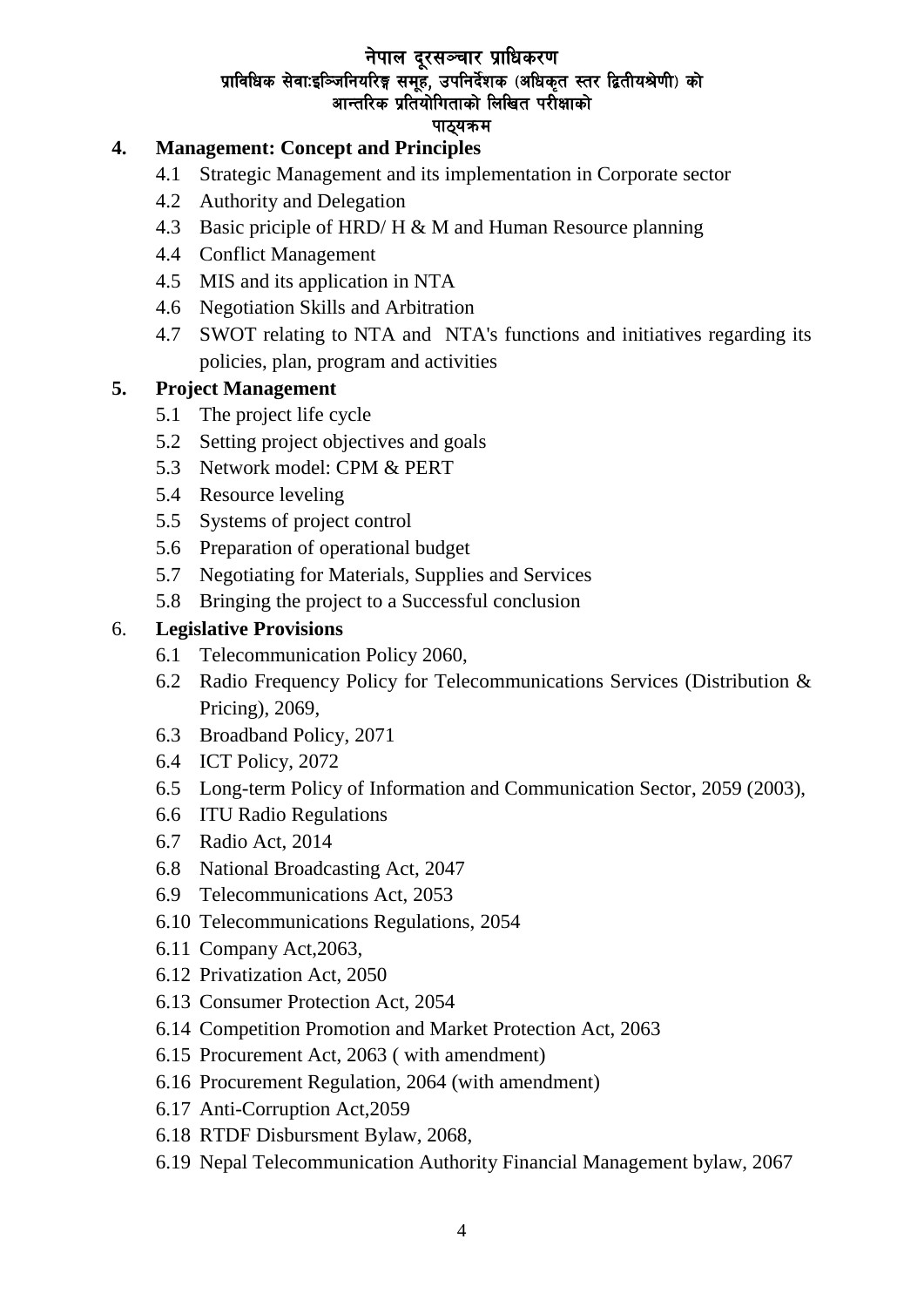# नेपाल दूरसञ्चार प्राधिकरण प्राविधिक सेवाःइञ्जिनियरिङ्ग समूहे, उपनिर्देशक (अधिकृत स्तर द्वितीयश्रेणी) को आन्तरिक प्रतियोगिताको लिखित परीक्षाको

### पाठयक्रम

## **4. Management: Concept and Principles**

- 4.1 Strategic Management and its implementation in Corporate sector
- 4.2 Authority and Delegation
- 4.3 Basic priciple of HRD/ H & M and Human Resource planning
- 4.4 Conflict Management
- 4.5 MIS and its application in NTA
- 4.6 Negotiation Skills and Arbitration
- 4.7 SWOT relating to NTA and NTA's functions and initiatives regarding its policies, plan, program and activities

## **5. Project Management**

- 5.1 The project life cycle
- 5.2 Setting project objectives and goals
- 5.3 Network model: CPM & PERT
- 5.4 Resource leveling
- 5.5 Systems of project control
- 5.6 Preparation of operational budget
- 5.7 Negotiating for Materials, Supplies and Services
- 5.8 Bringing the project to a Successful conclusion

## 6. **Legislative Provisions**

- 6.1 Telecommunication Policy 2060,
- 6.2 Radio Frequency Policy for Telecommunications Services (Distribution & Pricing), 2069,
- 6.3 Broadband Policy, 2071
- 6.4 ICT Policy, 2072
- 6.5 Long-term Policy of Information and Communication Sector, 2059 (2003),
- 6.6 ITU Radio Regulations
- 6.7 Radio Act, 2014
- 6.8 National Broadcasting Act, 2047
- 6.9 Telecommunications Act, 2053
- 6.10 Telecommunications Regulations, 2054
- 6.11 Company Act,2063,
- 6.12 Privatization Act, 2050
- 6.13 Consumer Protection Act, 2054
- 6.14 Competition Promotion and Market Protection Act, 2063
- 6.15 Procurement Act, 2063 ( with amendment)
- 6.16 Procurement Regulation, 2064 (with amendment)
- 6.17 Anti-Corruption Act,2059
- 6.18 RTDF Disbursment Bylaw, 2068,
- 6.19 Nepal Telecommunication Authority Financial Management bylaw, 2067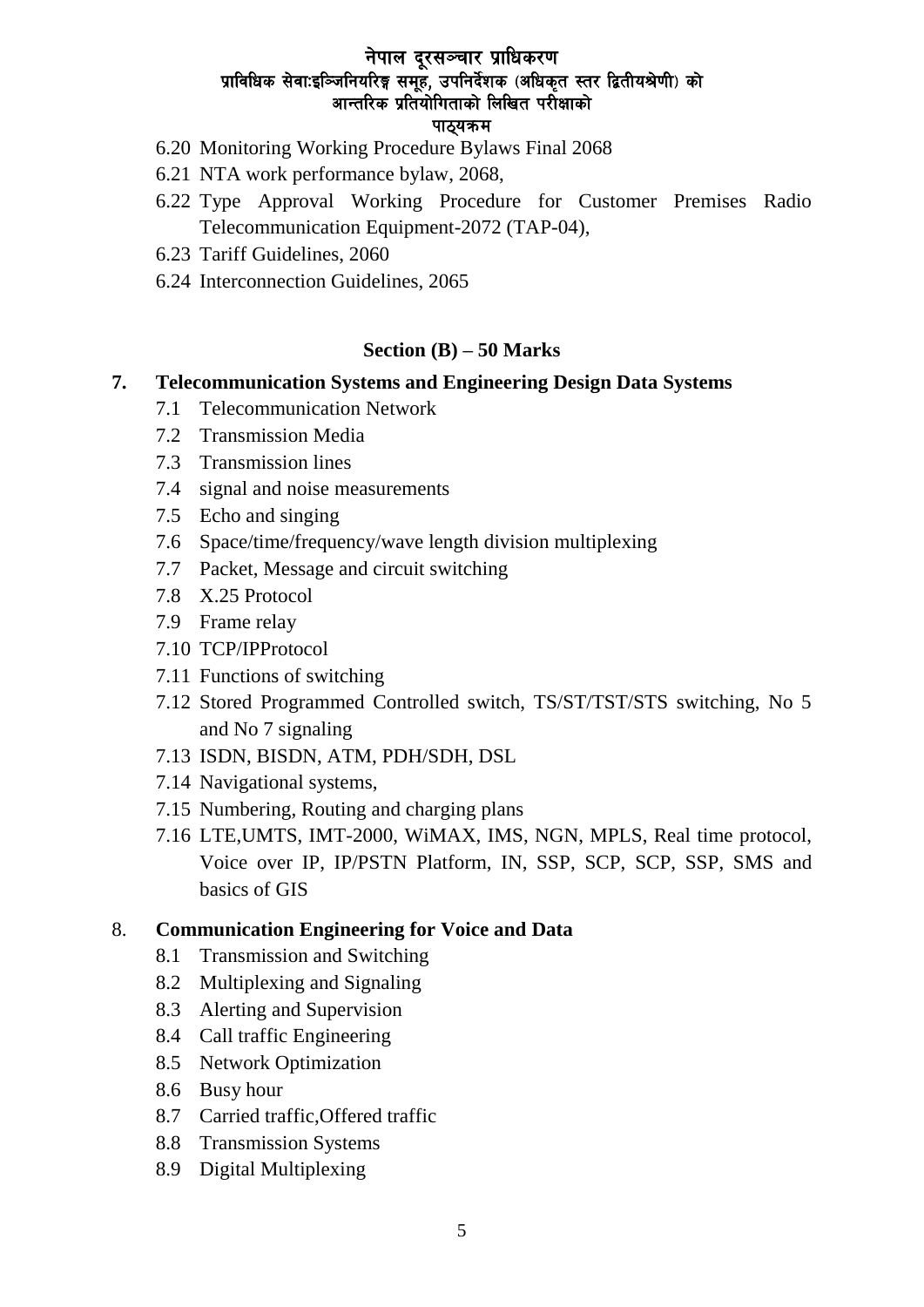# नेपाल दूरसञ्चार प्राधिकरण प्राविधिक सेवा:इञ्जिनियरिङ्ग समुह, उपनिर्देशक (अधिकृत स्तर द्वितीयश्रेणी) को आन्तरिक प्रतियोगिताको लिखित परीक्षाको

### पाठयक्रम

- 6.20 Monitoring Working Procedure Bylaws Final 2068
- 6.21 NTA work performance bylaw, 2068,
- 6.22 Type Approval Working Procedure for Customer Premises Radio Telecommunication Equipment-2072 (TAP-04),
- 6.23 Tariff Guidelines, 2060
- 6.24 Interconnection Guidelines, 2065

### **Section (B) – 50 Marks**

### **7. Telecommunication Systems and Engineering Design Data Systems**

- 7.1 Telecommunication Network
- 7.2 Transmission Media
- 7.3 Transmission lines
- 7.4 signal and noise measurements
- 7.5 Echo and singing
- 7.6 Space/time/frequency/wave length division multiplexing
- 7.7 Packet, Message and circuit switching
- 7.8 X.25 Protocol
- 7.9 Frame relay
- 7.10 TCP/IPProtocol
- 7.11 Functions of switching
- 7.12 Stored Programmed Controlled switch, TS/ST/TST/STS switching, No 5 and No 7 signaling
- 7.13 ISDN, BISDN, ATM, PDH/SDH, DSL
- 7.14 Navigational systems,
- 7.15 Numbering, Routing and charging plans
- 7.16 LTE,UMTS, IMT-2000, WiMAX, IMS, NGN, MPLS, Real time protocol, Voice over IP, IP/PSTN Platform, IN, SSP, SCP, SCP, SSP, SMS and basics of GIS

### 8. **Communication Engineering for Voice and Data**

- 8.1 Transmission and Switching
- 8.2 Multiplexing and Signaling
- 8.3 Alerting and Supervision
- 8.4 Call traffic Engineering
- 8.5 Network Optimization
- 8.6 Busy hour
- 8.7 Carried traffic,Offered traffic
- 8.8 Transmission Systems
- 8.9 Digital Multiplexing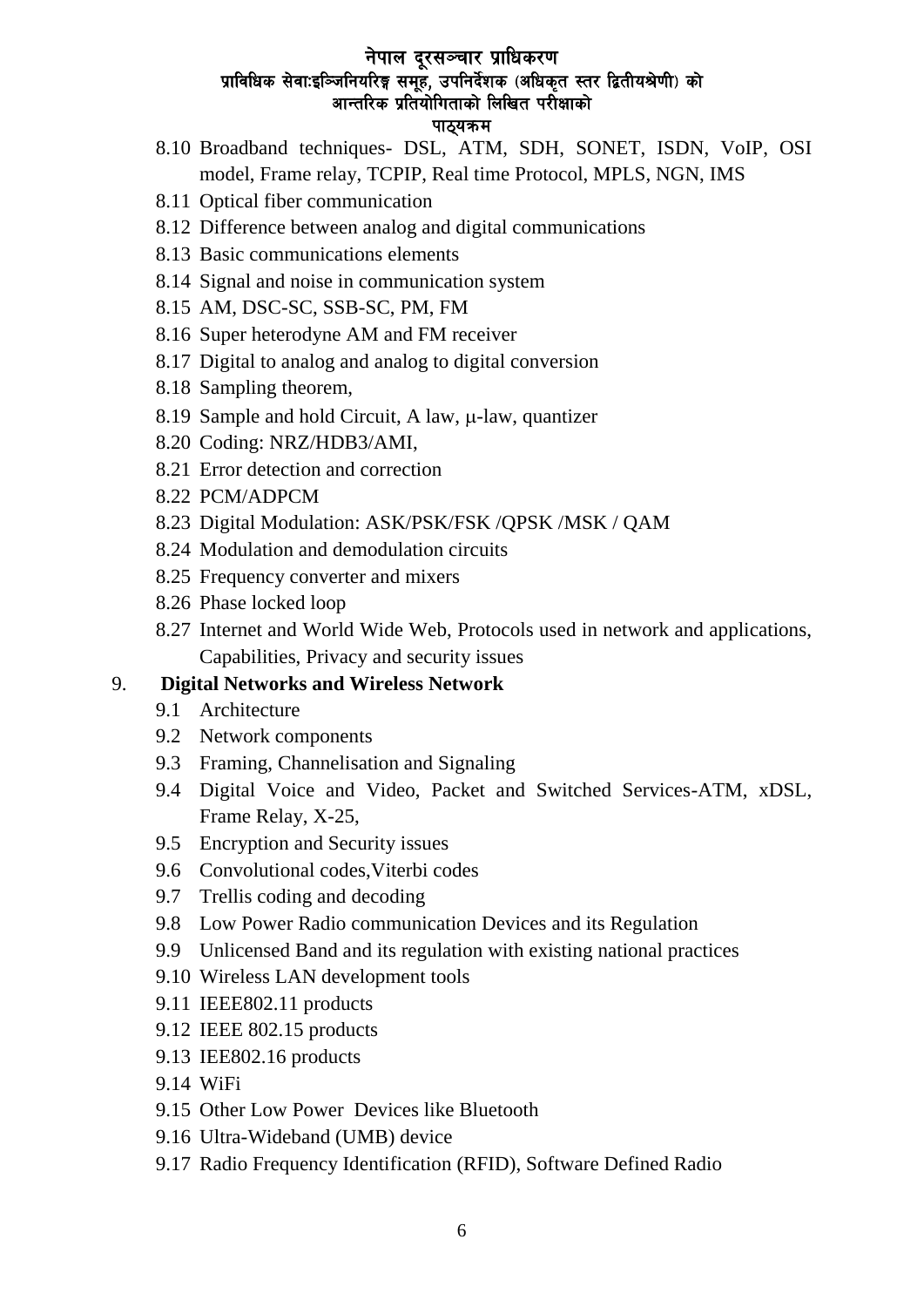### नेपाल दूरसञ्चार प्राधिकरण प्राविधिक सेवा:इञ्जिनियरिङ्ग समूह, उपनिर्देशक (अधिकृत स्तर द्वितीयश्रेणी) को आन्तरिक प्रतियोगिताको लिखित परीक्षाको पाठयकम

- 8.10 Broadband techniques- DSL, ATM, SDH, SONET, ISDN, VoIP, OSI model, Frame relay, TCPIP, Real time Protocol, MPLS, NGN, IMS
- 8.11 Optical fiber communication
- 8.12 Difference between analog and digital communications
- 8.13 Basic communications elements
- 8.14 Signal and noise in communication system
- 8.15 AM, DSC-SC, SSB-SC, PM, FM
- 8.16 Super heterodyne AM and FM receiver
- 8.17 Digital to analog and analog to digital conversion
- 8.18 Sampling theorem,
- 8.19 Sample and hold Circuit, A law,  $\mu$ -law, quantizer
- 8.20 Coding: NRZ/HDB3/AMI,
- 8.21 Error detection and correction
- 8.22 PCM/ADPCM
- 8.23 Digital Modulation: ASK/PSK/FSK /QPSK /MSK / QAM
- 8.24 Modulation and demodulation circuits
- 8.25 Frequency converter and mixers
- 8.26 Phase locked loop
- 8.27 Internet and World Wide Web, Protocols used in network and applications, Capabilities, Privacy and security issues

### 9. **Digital Networks and Wireless Network**

- 9.1 Architecture
- 9.2 Network components
- 9.3 Framing, Channelisation and Signaling
- 9.4 Digital Voice and Video, Packet and Switched Services-ATM, xDSL, Frame Relay, X-25,
- 9.5 Encryption and Security issues
- 9.6 Convolutional codes,Viterbi codes
- 9.7 Trellis coding and decoding
- 9.8 Low Power Radio communication Devices and its Regulation
- 9.9 Unlicensed Band and its regulation with existing national practices
- 9.10 Wireless LAN development tools
- 9.11 IEEE802.11 products
- 9.12 IEEE 802.15 products
- 9.13 IEE802.16 products
- 9.14 WiFi
- 9.15 Other Low Power Devices like Bluetooth
- 9.16 Ultra-Wideband (UMB) device
- 9.17 Radio Frequency Identification (RFID), Software Defined Radio